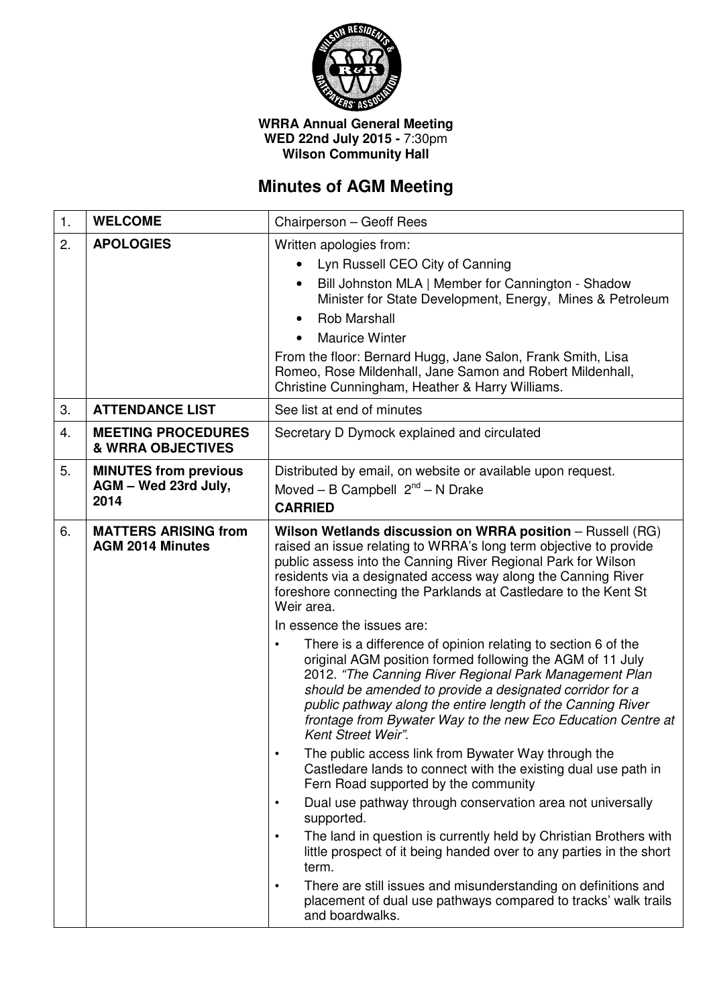

## **WRRA Annual General Meeting WED 22nd July 2015 -** 7:30pm **Wilson Community Hall**

## **Minutes of AGM Meeting**

| 1. | <b>WELCOME</b>                                               | Chairperson - Geoff Rees                                                                                                                                                                                                                                                                                                                                                                                                                                                                                                                                                                                                                                                                                                                                                                                                                                                                                                                                                                                                                                                                                                                                                                                                                                                                                                                                                                               |  |
|----|--------------------------------------------------------------|--------------------------------------------------------------------------------------------------------------------------------------------------------------------------------------------------------------------------------------------------------------------------------------------------------------------------------------------------------------------------------------------------------------------------------------------------------------------------------------------------------------------------------------------------------------------------------------------------------------------------------------------------------------------------------------------------------------------------------------------------------------------------------------------------------------------------------------------------------------------------------------------------------------------------------------------------------------------------------------------------------------------------------------------------------------------------------------------------------------------------------------------------------------------------------------------------------------------------------------------------------------------------------------------------------------------------------------------------------------------------------------------------------|--|
| 2. | <b>APOLOGIES</b>                                             | Written apologies from:<br>Lyn Russell CEO City of Canning<br>Bill Johnston MLA   Member for Cannington - Shadow<br>Minister for State Development, Energy, Mines & Petroleum<br><b>Rob Marshall</b><br><b>Maurice Winter</b><br>From the floor: Bernard Hugg, Jane Salon, Frank Smith, Lisa<br>Romeo, Rose Mildenhall, Jane Samon and Robert Mildenhall,<br>Christine Cunningham, Heather & Harry Williams.                                                                                                                                                                                                                                                                                                                                                                                                                                                                                                                                                                                                                                                                                                                                                                                                                                                                                                                                                                                           |  |
| 3. | <b>ATTENDANCE LIST</b>                                       | See list at end of minutes                                                                                                                                                                                                                                                                                                                                                                                                                                                                                                                                                                                                                                                                                                                                                                                                                                                                                                                                                                                                                                                                                                                                                                                                                                                                                                                                                                             |  |
| 4. | <b>MEETING PROCEDURES</b><br><b>&amp; WRRA OBJECTIVES</b>    | Secretary D Dymock explained and circulated                                                                                                                                                                                                                                                                                                                                                                                                                                                                                                                                                                                                                                                                                                                                                                                                                                                                                                                                                                                                                                                                                                                                                                                                                                                                                                                                                            |  |
| 5. | <b>MINUTES from previous</b><br>AGM - Wed 23rd July,<br>2014 | Distributed by email, on website or available upon request.<br>Moved – B Campbell $2^{nd}$ – N Drake<br><b>CARRIED</b>                                                                                                                                                                                                                                                                                                                                                                                                                                                                                                                                                                                                                                                                                                                                                                                                                                                                                                                                                                                                                                                                                                                                                                                                                                                                                 |  |
| 6. | <b>MATTERS ARISING from</b><br><b>AGM 2014 Minutes</b>       | Wilson Wetlands discussion on WRRA position - Russell (RG)<br>raised an issue relating to WRRA's long term objective to provide<br>public assess into the Canning River Regional Park for Wilson<br>residents via a designated access way along the Canning River<br>foreshore connecting the Parklands at Castledare to the Kent St<br>Weir area.<br>In essence the issues are:<br>There is a difference of opinion relating to section 6 of the<br>$\bullet$<br>original AGM position formed following the AGM of 11 July<br>2012. "The Canning River Regional Park Management Plan<br>should be amended to provide a designated corridor for a<br>public pathway along the entire length of the Canning River<br>frontage from Bywater Way to the new Eco Education Centre at<br>Kent Street Weir".<br>The public access link from Bywater Way through the<br>Castledare lands to connect with the existing dual use path in<br>Fern Road supported by the community<br>Dual use pathway through conservation area not universally<br>$\bullet$<br>supported.<br>The land in question is currently held by Christian Brothers with<br>$\bullet$<br>little prospect of it being handed over to any parties in the short<br>term.<br>There are still issues and misunderstanding on definitions and<br>$\bullet$<br>placement of dual use pathways compared to tracks' walk trails<br>and boardwalks. |  |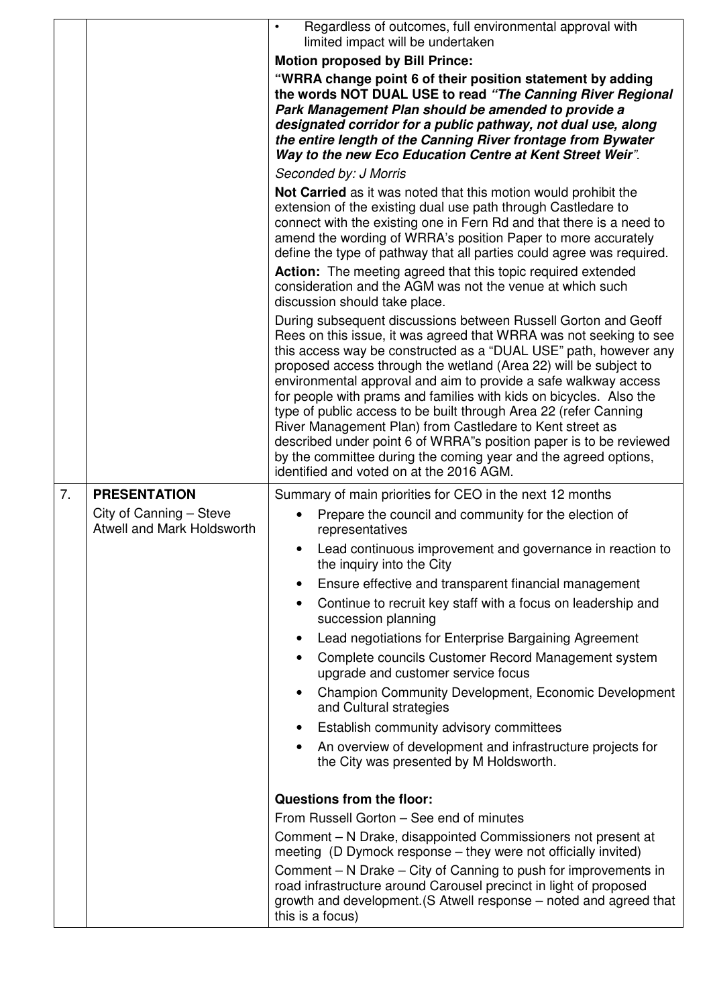|    |                                                       | Regardless of outcomes, full environmental approval with<br>limited impact will be undertaken                                                                                                                                                                                                                                                                                                                                                                                                                                                                                                                                                                                                                                              |  |  |  |
|----|-------------------------------------------------------|--------------------------------------------------------------------------------------------------------------------------------------------------------------------------------------------------------------------------------------------------------------------------------------------------------------------------------------------------------------------------------------------------------------------------------------------------------------------------------------------------------------------------------------------------------------------------------------------------------------------------------------------------------------------------------------------------------------------------------------------|--|--|--|
|    |                                                       | <b>Motion proposed by Bill Prince:</b>                                                                                                                                                                                                                                                                                                                                                                                                                                                                                                                                                                                                                                                                                                     |  |  |  |
|    |                                                       | "WRRA change point 6 of their position statement by adding<br>the words NOT DUAL USE to read "The Canning River Regional                                                                                                                                                                                                                                                                                                                                                                                                                                                                                                                                                                                                                   |  |  |  |
|    |                                                       | Park Management Plan should be amended to provide a<br>designated corridor for a public pathway, not dual use, along<br>the entire length of the Canning River frontage from Bywater<br>Way to the new Eco Education Centre at Kent Street Weir".                                                                                                                                                                                                                                                                                                                                                                                                                                                                                          |  |  |  |
|    |                                                       | Seconded by: J Morris                                                                                                                                                                                                                                                                                                                                                                                                                                                                                                                                                                                                                                                                                                                      |  |  |  |
|    |                                                       | Not Carried as it was noted that this motion would prohibit the<br>extension of the existing dual use path through Castledare to<br>connect with the existing one in Fern Rd and that there is a need to<br>amend the wording of WRRA's position Paper to more accurately<br>define the type of pathway that all parties could agree was required.<br>Action: The meeting agreed that this topic required extended<br>consideration and the AGM was not the venue at which such<br>discussion should take place.                                                                                                                                                                                                                           |  |  |  |
|    |                                                       |                                                                                                                                                                                                                                                                                                                                                                                                                                                                                                                                                                                                                                                                                                                                            |  |  |  |
|    |                                                       | During subsequent discussions between Russell Gorton and Geoff<br>Rees on this issue, it was agreed that WRRA was not seeking to see<br>this access way be constructed as a "DUAL USE" path, however any<br>proposed access through the wetland (Area 22) will be subject to<br>environmental approval and aim to provide a safe walkway access<br>for people with prams and families with kids on bicycles. Also the<br>type of public access to be built through Area 22 (refer Canning<br>River Management Plan) from Castledare to Kent street as<br>described under point 6 of WRRA"s position paper is to be reviewed<br>by the committee during the coming year and the agreed options,<br>identified and voted on at the 2016 AGM. |  |  |  |
|    |                                                       |                                                                                                                                                                                                                                                                                                                                                                                                                                                                                                                                                                                                                                                                                                                                            |  |  |  |
| 7. | <b>PRESENTATION</b>                                   | Summary of main priorities for CEO in the next 12 months                                                                                                                                                                                                                                                                                                                                                                                                                                                                                                                                                                                                                                                                                   |  |  |  |
|    | City of Canning - Steve<br>Atwell and Mark Holdsworth | Prepare the council and community for the election of<br>representatives                                                                                                                                                                                                                                                                                                                                                                                                                                                                                                                                                                                                                                                                   |  |  |  |
|    |                                                       | Lead continuous improvement and governance in reaction to<br>$\bullet$<br>the inquiry into the City                                                                                                                                                                                                                                                                                                                                                                                                                                                                                                                                                                                                                                        |  |  |  |
|    |                                                       | Ensure effective and transparent financial management                                                                                                                                                                                                                                                                                                                                                                                                                                                                                                                                                                                                                                                                                      |  |  |  |
|    |                                                       | Continue to recruit key staff with a focus on leadership and<br>succession planning                                                                                                                                                                                                                                                                                                                                                                                                                                                                                                                                                                                                                                                        |  |  |  |
|    |                                                       | Lead negotiations for Enterprise Bargaining Agreement<br>$\bullet$<br>Complete councils Customer Record Management system<br>upgrade and customer service focus                                                                                                                                                                                                                                                                                                                                                                                                                                                                                                                                                                            |  |  |  |
|    |                                                       | <b>Champion Community Development, Economic Development</b><br>$\bullet$<br>and Cultural strategies                                                                                                                                                                                                                                                                                                                                                                                                                                                                                                                                                                                                                                        |  |  |  |
|    |                                                       | Establish community advisory committees                                                                                                                                                                                                                                                                                                                                                                                                                                                                                                                                                                                                                                                                                                    |  |  |  |
|    |                                                       | An overview of development and infrastructure projects for<br>the City was presented by M Holdsworth.                                                                                                                                                                                                                                                                                                                                                                                                                                                                                                                                                                                                                                      |  |  |  |
|    |                                                       | Questions from the floor:                                                                                                                                                                                                                                                                                                                                                                                                                                                                                                                                                                                                                                                                                                                  |  |  |  |
|    |                                                       | From Russell Gorton - See end of minutes                                                                                                                                                                                                                                                                                                                                                                                                                                                                                                                                                                                                                                                                                                   |  |  |  |
|    |                                                       | Comment – N Drake, disappointed Commissioners not present at<br>meeting (D Dymock response - they were not officially invited)<br>Comment - N Drake - City of Canning to push for improvements in                                                                                                                                                                                                                                                                                                                                                                                                                                                                                                                                          |  |  |  |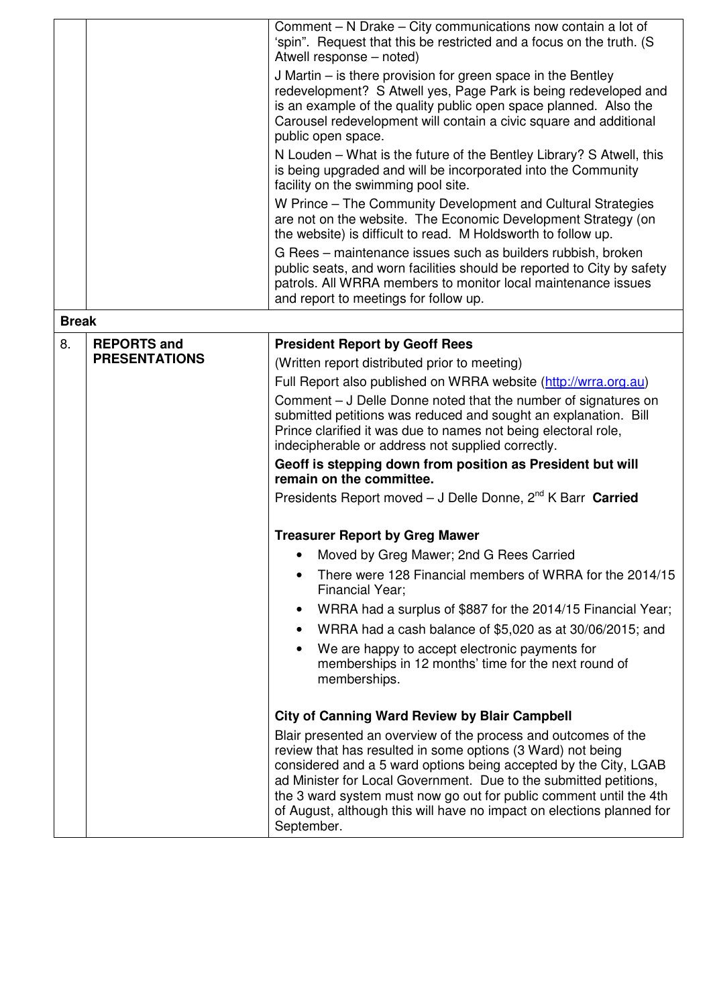|              |                                            | Comment – N Drake – City communications now contain a lot of<br>'spin". Request that this be restricted and a focus on the truth. (S<br>Atwell response - noted)<br>J Martin - is there provision for green space in the Bentley<br>redevelopment? S Atwell yes, Page Park is being redeveloped and<br>is an example of the quality public open space planned. Also the<br>Carousel redevelopment will contain a civic square and additional<br>public open space.<br>N Louden – What is the future of the Bentley Library? S Atwell, this<br>is being upgraded and will be incorporated into the Community<br>facility on the swimming pool site.<br>W Prince – The Community Development and Cultural Strategies<br>are not on the website. The Economic Development Strategy (on<br>the website) is difficult to read. M Holdsworth to follow up.<br>G Rees - maintenance issues such as builders rubbish, broken<br>public seats, and worn facilities should be reported to City by safety<br>patrols. All WRRA members to monitor local maintenance issues<br>and report to meetings for follow up. |
|--------------|--------------------------------------------|----------------------------------------------------------------------------------------------------------------------------------------------------------------------------------------------------------------------------------------------------------------------------------------------------------------------------------------------------------------------------------------------------------------------------------------------------------------------------------------------------------------------------------------------------------------------------------------------------------------------------------------------------------------------------------------------------------------------------------------------------------------------------------------------------------------------------------------------------------------------------------------------------------------------------------------------------------------------------------------------------------------------------------------------------------------------------------------------------------|
| <b>Break</b> |                                            |                                                                                                                                                                                                                                                                                                                                                                                                                                                                                                                                                                                                                                                                                                                                                                                                                                                                                                                                                                                                                                                                                                          |
| 8.           | <b>REPORTS and</b><br><b>PRESENTATIONS</b> | <b>President Report by Geoff Rees</b><br>(Written report distributed prior to meeting)<br>Full Report also published on WRRA website (http://wrra.org.au)<br>Comment – J Delle Donne noted that the number of signatures on<br>submitted petitions was reduced and sought an explanation. Bill<br>Prince clarified it was due to names not being electoral role,<br>indecipherable or address not supplied correctly.<br>Geoff is stepping down from position as President but will<br>remain on the committee.<br>Presidents Report moved - J Delle Donne, 2 <sup>nd</sup> K Barr Carried<br><b>Treasurer Report by Greg Mawer</b><br>Moved by Greg Mawer; 2nd G Rees Carried<br>There were 128 Financial members of WRRA for the 2014/15                                                                                                                                                                                                                                                                                                                                                               |
|              |                                            | Financial Year;<br>WRRA had a surplus of \$887 for the 2014/15 Financial Year;<br>WRRA had a cash balance of \$5,020 as at 30/06/2015; and<br>We are happy to accept electronic payments for<br>memberships in 12 months' time for the next round of<br>memberships.<br><b>City of Canning Ward Review by Blair Campbell</b><br>Blair presented an overview of the process and outcomes of the<br>review that has resulted in some options (3 Ward) not being<br>considered and a 5 ward options being accepted by the City, LGAB<br>ad Minister for Local Government. Due to the submitted petitions,<br>the 3 ward system must now go out for public comment until the 4th<br>of August, although this will have no impact on elections planned for<br>September.                                                                                                                                                                                                                                                                                                                                      |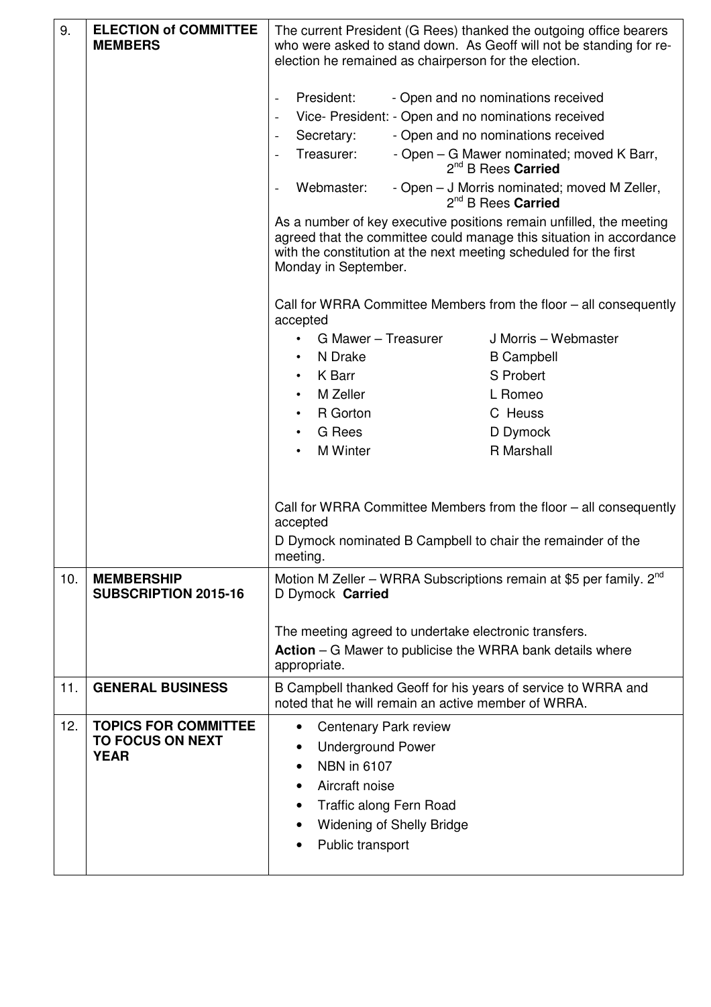| 9.  | <b>ELECTION of COMMITTEE</b><br><b>MEMBERS</b>                        | The current President (G Rees) thanked the outgoing office bearers<br>who were asked to stand down. As Geoff will not be standing for re-<br>election he remained as chairperson for the election.                                                                        |                                                                                                                                  |                      |  |
|-----|-----------------------------------------------------------------------|---------------------------------------------------------------------------------------------------------------------------------------------------------------------------------------------------------------------------------------------------------------------------|----------------------------------------------------------------------------------------------------------------------------------|----------------------|--|
|     |                                                                       | President:<br>$\overline{a}$                                                                                                                                                                                                                                              | - Open and no nominations received<br>Vice- President: - Open and no nominations received                                        |                      |  |
|     |                                                                       | Secretary:<br>$\overline{\phantom{m}}$<br>Treasurer:                                                                                                                                                                                                                      | - Open and no nominations received<br>- Open – G Mawer nominated; moved K Barr,                                                  |                      |  |
|     |                                                                       | Webmaster:                                                                                                                                                                                                                                                                | 2 <sup>nd</sup> B Rees Carried<br>- Open – J Morris nominated; moved M Zeller,                                                   |                      |  |
|     |                                                                       | 2 <sup>nd</sup> B Rees Carried<br>As a number of key executive positions remain unfilled, the meeting<br>agreed that the committee could manage this situation in accordance<br>with the constitution at the next meeting scheduled for the first<br>Monday in September. |                                                                                                                                  |                      |  |
|     |                                                                       | Call for WRRA Committee Members from the floor – all consequently<br>accepted                                                                                                                                                                                             |                                                                                                                                  |                      |  |
|     |                                                                       | G Mawer - Treasurer                                                                                                                                                                                                                                                       |                                                                                                                                  | J Morris - Webmaster |  |
|     |                                                                       | N Drake                                                                                                                                                                                                                                                                   |                                                                                                                                  | <b>B</b> Campbell    |  |
|     |                                                                       | K Barr<br>$\bullet$                                                                                                                                                                                                                                                       |                                                                                                                                  | S Probert            |  |
|     |                                                                       | M Zeller<br>$\bullet$                                                                                                                                                                                                                                                     |                                                                                                                                  | L Romeo              |  |
|     |                                                                       | R Gorton                                                                                                                                                                                                                                                                  |                                                                                                                                  | C Heuss              |  |
|     |                                                                       | <b>G</b> Rees                                                                                                                                                                                                                                                             |                                                                                                                                  | D Dymock             |  |
|     |                                                                       | <b>M</b> Winter                                                                                                                                                                                                                                                           |                                                                                                                                  | R Marshall           |  |
|     |                                                                       | accepted<br>meeting.                                                                                                                                                                                                                                                      | Call for WRRA Committee Members from the floor – all consequently<br>D Dymock nominated B Campbell to chair the remainder of the |                      |  |
| 10. | <b>MEMBERSHIP</b><br><b>SUBSCRIPTION 2015-16</b>                      | Motion M Zeller - WRRA Subscriptions remain at \$5 per family. 2 <sup>nd</sup><br>D Dymock Carried                                                                                                                                                                        |                                                                                                                                  |                      |  |
|     |                                                                       | The meeting agreed to undertake electronic transfers.<br><b>Action</b> – G Mawer to publicise the WRRA bank details where<br>appropriate.                                                                                                                                 |                                                                                                                                  |                      |  |
| 11. | <b>GENERAL BUSINESS</b>                                               | B Campbell thanked Geoff for his years of service to WRRA and<br>noted that he will remain an active member of WRRA.                                                                                                                                                      |                                                                                                                                  |                      |  |
| 12. | <b>TOPICS FOR COMMITTEE</b><br><b>TO FOCUS ON NEXT</b><br><b>YEAR</b> | Centenary Park review<br>٠<br><b>Underground Power</b><br><b>NBN</b> in 6107<br>Aircraft noise<br>Traffic along Fern Road<br>$\bullet$<br><b>Widening of Shelly Bridge</b><br>Public transport                                                                            |                                                                                                                                  |                      |  |

Ι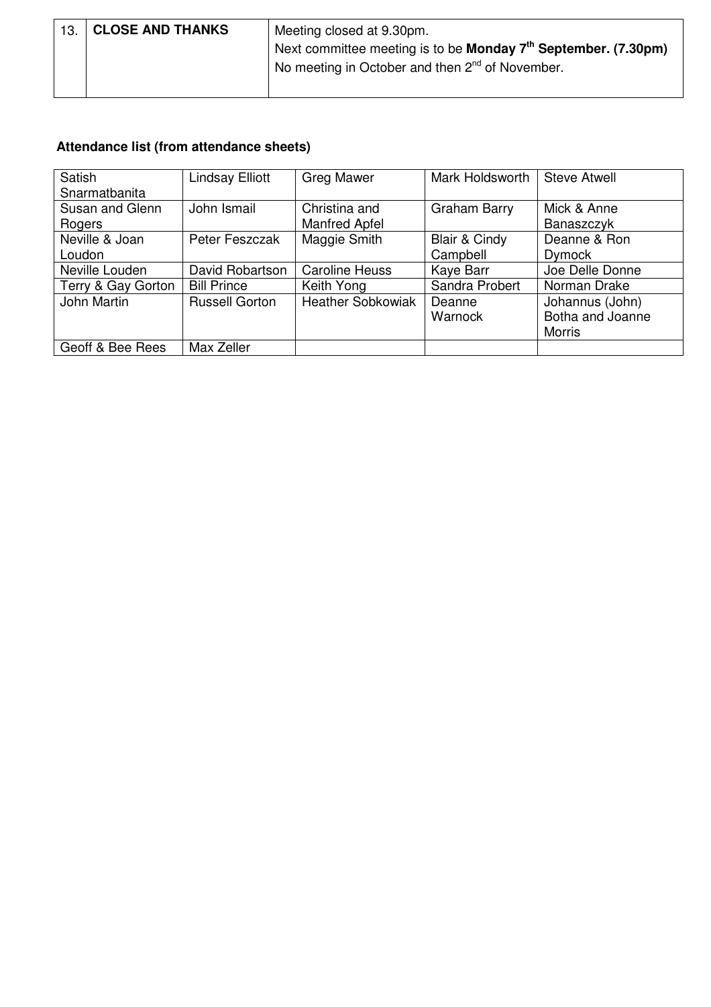| 13. CLOSE AND THANKS | Meeting closed at 9.30pm.                                                          |  |  |  |
|----------------------|------------------------------------------------------------------------------------|--|--|--|
|                      | Next committee meeting is to be <b>Monday <math>7th</math> September.</b> (7.30pm) |  |  |  |
|                      | No meeting in October and then 2 <sup>nd</sup> of November.                        |  |  |  |
|                      |                                                                                    |  |  |  |

## **Attendance list (from attendance sheets)**

| Satish             | <b>Lindsay Elliott</b> | <b>Greg Mawer</b>        | Mark Holdsworth     | <b>Steve Atwell</b> |
|--------------------|------------------------|--------------------------|---------------------|---------------------|
| Snarmatbanita      |                        |                          |                     |                     |
| Susan and Glenn    | John Ismail            | Christina and            | <b>Graham Barry</b> | Mick & Anne         |
| Rogers             |                        | <b>Manfred Apfel</b>     |                     | Banaszczyk          |
| Neville & Joan     | Peter Feszczak         | Maggie Smith             | Blair & Cindy       | Deanne & Ron        |
| Loudon             |                        |                          | Campbell            | <b>Dymock</b>       |
| Neville Louden     | David Robartson        | <b>Caroline Heuss</b>    | Kaye Barr           | Joe Delle Donne     |
| Terry & Gay Gorton | <b>Bill Prince</b>     | Keith Yong               | Sandra Probert      | Norman Drake        |
| John Martin        | <b>Russell Gorton</b>  | <b>Heather Sobkowiak</b> | Deanne              | Johannus (John)     |
|                    |                        |                          | Warnock             | Botha and Joanne    |
|                    |                        |                          |                     | <b>Morris</b>       |
| Geoff & Bee Rees   | Max Zeller             |                          |                     |                     |